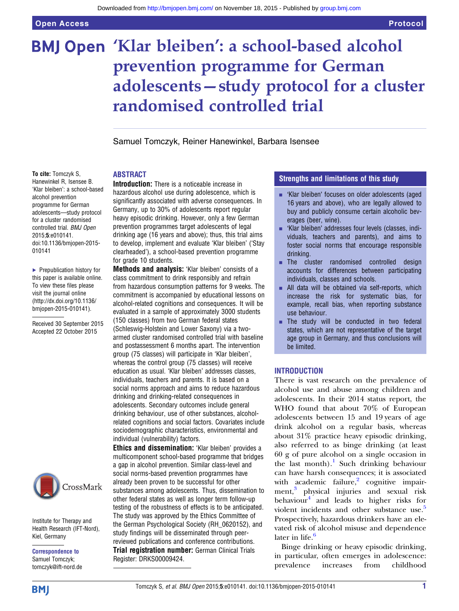# BMJ Open 'Klar bleiben': a school-based alcohol prevention programme for German adolescents—study protocol for a cluster randomised controlled trial

Samuel Tomczyk, Reiner Hanewinkel, Barbara Isensee

#### ABSTRACT

To cite: Tomczyk S, Hanewinkel R, Isensee B. 'Klar bleiben': a school-based alcohol prevention programme for German adolescents—study protocol for a cluster randomised controlled trial. BMJ Open 2015;5:e010141. doi:10.1136/bmjopen-2015- 010141

▶ Prepublication history for this paper is available online. To view these files please visit the journal online [\(http://dx.doi.org/10.1136/](http://dx.doi.org/10.1136/bmjopen-2015-010141) [bmjopen-2015-010141](http://dx.doi.org/10.1136/bmjopen-2015-010141)).

Received 30 September 2015 Accepted 22 October 2015



Institute for Therapy and Health Research (IFT-Nord), Kiel, Germany

Correspondence to Samuel Tomczyk; tomczyk@ift-nord.de

Introduction: There is a noticeable increase in hazardous alcohol use during adolescence, which is significantly associated with adverse consequences. In Germany, up to 30% of adolescents report regular heavy episodic drinking. However, only a few German prevention programmes target adolescents of legal drinking age (16 years and above); thus, this trial aims to develop, implement and evaluate 'Klar bleiben' ('Stay clearheaded'), a school-based prevention programme for grade 10 students.

Methods and analysis: 'Klar bleiben' consists of a class commitment to drink responsibly and refrain from hazardous consumption patterns for 9 weeks. The commitment is accompanied by educational lessons on alcohol-related cognitions and consequences. It will be evaluated in a sample of approximately 3000 students (150 classes) from two German federal states (Schleswig-Holstein and Lower Saxony) via a twoarmed cluster randomised controlled trial with baseline and postassessment 6 months apart. The intervention group (75 classes) will participate in 'Klar bleiben', whereas the control group (75 classes) will receive education as usual. 'Klar bleiben' addresses classes, individuals, teachers and parents. It is based on a social norms approach and aims to reduce hazardous drinking and drinking-related consequences in adolescents. Secondary outcomes include general drinking behaviour, use of other substances, alcoholrelated cognitions and social factors. Covariates include sociodemographic characteristics, environmental and individual (vulnerability) factors.

Ethics and dissemination: 'Klar bleiben' provides a multicomponent school-based programme that bridges a gap in alcohol prevention. Similar class-level and social norms-based prevention programmes have already been proven to be successful for other substances among adolescents. Thus, dissemination to other federal states as well as longer term follow-up testing of the robustness of effects is to be anticipated. The study was approved by the Ethics Committee of the German Psychological Society (RH\_0620152), and study findings will be disseminated through peerreviewed publications and conference contributions. **Trial registration number: German Clinical Trials** Register: DRKS00009424.

### Strengths and limitations of this study

- **EXALGO 'Klar bleiben' focuses on older adolescents (aged)** 16 years and above), who are legally allowed to buy and publicly consume certain alcoholic beverages (beer, wine).
- 'Klar bleiben' addresses four levels (classes, individuals, teachers and parents), and aims to foster social norms that encourage responsible drinking.
- The cluster randomised controlled design accounts for differences between participating individuals, classes and schools.
- $\blacksquare$  All data will be obtained via self-reports, which increase the risk for systematic bias, for example, recall bias, when reporting substance use behaviour.
- The study will be conducted in two federal states, which are not representative of the target age group in Germany, and thus conclusions will be limited.

#### INTRODUCTION

There is vast research on the prevalence of alcohol use and abuse among children and adolescents. In their 2014 status report, the WHO found that about 70% of European adolescents between 15 and 19 years of age drink alcohol on a regular basis, whereas about 31% practice heavy episodic drinking, also referred to as binge drinking (at least 60 g of pure alcohol on a single occasion in the last month).<sup>[1](#page-5-0)</sup> Such drinking behaviour can have harsh consequences; it is associated with academic failure, $\frac{2}{\pi}$  $\frac{2}{\pi}$  $\frac{2}{\pi}$  cognitive impair-ment,<sup>[3](#page-5-0)</sup> physical injuries and sexual risk behaviour $4$  and leads to higher risks for violent incidents and other substance use.<sup>[5](#page-5-0)</sup> Prospectively, hazardous drinkers have an elevated risk of alcohol misuse and dependence later in life. $6$ 

Binge drinking or heavy episodic drinking, in particular, often emerges in adolescence: prevalence increases from childhood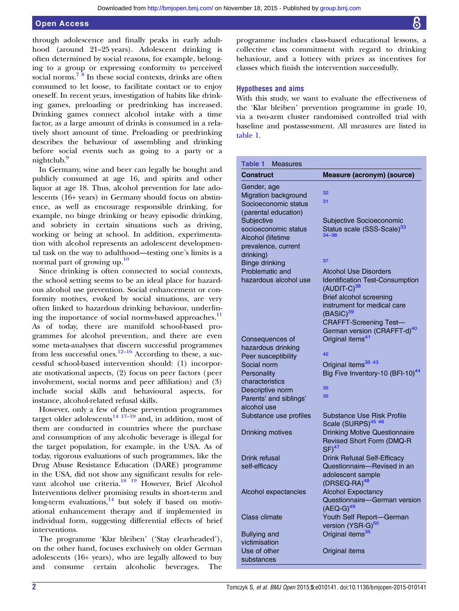## <span id="page-1-0"></span>Open Access

through adolescence and finally peaks in early adulthood (around 21–25 years). Adolescent drinking is often determined by social reasons, for example, belonging to a group or expressing conformity to perceived social norms.<sup>[7](#page-5-0)</sup><sup>8</sup> In these social contexts, drinks are often consumed to let loose, to facilitate contact or to enjoy oneself. In recent years, investigation of habits like drinking games, preloading or predrinking has increased. Drinking games connect alcohol intake with a time factor, as a large amount of drinks is consumed in a relatively short amount of time. Preloading or predrinking describes the behaviour of assembling and drinking before social events such as going to a party or a nightclub.<sup>[9](#page-6-0)</sup>

In Germany, wine and beer can legally be bought and publicly consumed at age 16, and spirits and other liquor at age 18. Thus, alcohol prevention for late adolescents (16+ years) in Germany should focus on abstinence, as well as encourage responsible drinking, for example, no binge drinking or heavy episodic drinking, and sobriety in certain situations such as driving, working or being at school. In addition, experimentation with alcohol represents an adolescent developmental task on the way to adulthood—testing one's limits is a normal part of growing up.<sup>[10](#page-6-0)</sup>

Since drinking is often connected to social contexts, the school setting seems to be an ideal place for hazardous alcohol use prevention. Social enhancement or conformity motives, evoked by social situations, are very often linked to hazardous drinking behaviour, underlin-ing the importance of social norms-based approaches.<sup>[11](#page-6-0)</sup> As of today, there are manifold school-based programmes for alcohol prevention, and there are even some meta-analyses that discern successful programmes from less successful ones.<sup>[12](#page-6-0)–16</sup> According to these, a successful school-based intervention should: (1) incorporate motivational aspects, (2) focus on peer factors (peer involvement, social norms and peer affiliation) and (3) include social skills and behavioural aspects, for instance, alcohol-related refusal skills.

However, only a few of these prevention programmes target older adolescents<sup>[14](#page-6-0) 17–[19](#page-6-0)</sup> and, in addition, most of them are conducted in countries where the purchase and consumption of any alcoholic beverage is illegal for the target population, for example, in the USA. As of today, rigorous evaluations of such programmes, like the Drug Abuse Resistance Education (DARE) programme in the USA, did not show any significant results for rele-vant alcohol use criteria.<sup>[18 19](#page-6-0)</sup> However, Brief Alcohol Interventions deliver promising results in short-term and long-term evaluations, $14$  but solely if based on motivational enhancement therapy and if implemented in individual form, suggesting differential effects of brief interventions.

The programme 'Klar bleiben' ('Stay clearheaded'), on the other hand, focuses exclusively on older German adolescents (16+ years), who are legally allowed to buy and consume certain alcoholic beverages. The

programme includes class-based educational lessons, a collective class commitment with regard to drinking behaviour, and a lottery with prizes as incentives for classes which finish the intervention successfully.

#### Hypotheses and aims

With this study, we want to evaluate the effectiveness of the 'Klar bleiben' prevention programme in grade 10, via a two-arm cluster randomised controlled trial with baseline and postassessment. All measures are listed in table 1.

| Table 1<br><b>Measures</b>                |                                                     |
|-------------------------------------------|-----------------------------------------------------|
| Construct                                 | Measure (acronym) (source)                          |
| Gender, age                               | 32                                                  |
| Migration background                      | 31                                                  |
| Socioeconomic status                      |                                                     |
| (parental education)                      |                                                     |
| Subjective                                | Subjective Socioeconomic                            |
| socioeconomic status<br>Alcohol (lifetime | Status scale (SSS-Scale) <sup>33</sup><br>$34 - 36$ |
| prevalence, current                       |                                                     |
| drinking)                                 |                                                     |
| <b>Binge drinking</b>                     | 37                                                  |
| Problematic and                           | Alcohol Use Disorders                               |
| hazardous alcohol use                     | <b>Identification Test-Consumption</b>              |
|                                           | $(AUDIT-C)38$                                       |
|                                           | Brief alcohol screening                             |
|                                           | instrument for medical care                         |
|                                           | $(BASIC)^{39}$                                      |
|                                           | <b>CRAFFT-Screening Test-</b>                       |
|                                           | German version (CRAFFT-d) <sup>40</sup>             |
| Consequences of                           | Original items <sup>41</sup>                        |
| hazardous drinking                        |                                                     |
| Peer susceptibility                       | 42                                                  |
| Social norm                               | Original items <sup>35 43</sup>                     |
| Personality                               | Big Five Inventory-10 (BFI-10) <sup>44</sup>        |
| characteristics                           | 35                                                  |
| Descriptive norm                          | 35                                                  |
| Parents' and siblings'<br>alcohol use     |                                                     |
| Substance use profiles                    | Substance Use Risk Profile                          |
|                                           | Scale (SURPS) <sup>45 46</sup>                      |
| <b>Drinking motives</b>                   | <b>Drinking Motive Questionnaire</b>                |
|                                           | Revised Short Form (DMQ-R                           |
|                                           | $SF)^{47}$                                          |
| Drink refusal                             | <b>Drink Refusal Self-Efficacy</b>                  |
| self-efficacy                             | Questionnaire-Revised in an                         |
|                                           | adolescent sample                                   |
|                                           | $(DRSEQ-RA)^{48}$                                   |
| Alcohol expectancies                      | <b>Alcohol Expectancy</b>                           |
|                                           | Questionnaire-German version                        |
|                                           | $(AEQ-G)^{49}$                                      |
| <b>Class climate</b>                      | Youth Self Report-German                            |
|                                           | version (YSR-G) <sup>50</sup>                       |
| <b>Bullying and</b>                       | Original items <sup>35</sup>                        |
| victimisation                             |                                                     |
| Use of other                              | Original items                                      |
| substances                                |                                                     |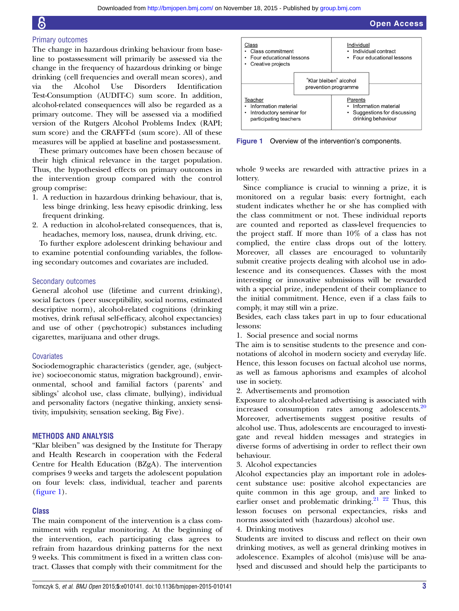#### Primary outcomes

The change in hazardous drinking behaviour from baseline to postassessment will primarily be assessed via the change in the frequency of hazardous drinking or binge drinking (cell frequencies and overall mean scores), and via the Alcohol Use Disorders Identification Test-Consumption (AUDIT-C) sum score. In addition, alcohol-related consequences will also be regarded as a primary outcome. They will be assessed via a modified version of the Rutgers Alcohol Problems Index (RAPI; sum score) and the CRAFFT-d (sum score). All of these measures will be applied at baseline and postassessment.

These primary outcomes have been chosen because of their high clinical relevance in the target population. Thus, the hypothesised effects on primary outcomes in the intervention group compared with the control group comprise:

- 1. A reduction in hazardous drinking behaviour, that is, less binge drinking, less heavy episodic drinking, less frequent drinking.
- 2. A reduction in alcohol-related consequences, that is, headaches, memory loss, nausea, drunk driving, etc.

To further explore adolescent drinking behaviour and to examine potential confounding variables, the following secondary outcomes and covariates are included.

#### Secondary outcomes

General alcohol use (lifetime and current drinking), social factors (peer susceptibility, social norms, estimated descriptive norm), alcohol-related cognitions (drinking motives, drink refusal self-efficacy, alcohol expectancies) and use of other (psychotropic) substances including cigarettes, marijuana and other drugs.

#### **Covariates**

Sociodemographic characteristics (gender, age, (subjective) socioeconomic status, migration background), environmental, school and familial factors (parents' and siblings' alcohol use, class climate, bullying), individual and personality factors (negative thinking, anxiety sensitivity, impulsivity, sensation seeking, Big Five).

#### METHODS AND ANALYSIS

"Klar bleiben" was designed by the Institute for Therapy and Health Research in cooperation with the Federal Centre for Health Education (BZgA). The intervention comprises 9 weeks and targets the adolescent population on four levels: class, individual, teacher and parents (figure 1).

#### Class

The main component of the intervention is a class commitment with regular monitoring. At the beginning of the intervention, each participating class agrees to refrain from hazardous drinking patterns for the next 9 weeks. This commitment is fixed in a written class contract. Classes that comply with their commitment for the



Figure 1 Overview of the intervention's components.

whole 9 weeks are rewarded with attractive prizes in a lottery.

Since compliance is crucial to winning a prize, it is monitored on a regular basis: every fortnight, each student indicates whether he or she has complied with the class commitment or not. These individual reports are counted and reported as class-level frequencies to the project staff. If more than 10% of a class has not complied, the entire class drops out of the lottery. Moreover, all classes are encouraged to voluntarily submit creative projects dealing with alcohol use in adolescence and its consequences. Classes with the most interesting or innovative submissions will be rewarded with a special prize, independent of their compliance to the initial commitment. Hence, even if a class fails to comply, it may still win a prize.

Besides, each class takes part in up to four educational lessons:

1. Social presence and social norms

The aim is to sensitise students to the presence and connotations of alcohol in modern society and everyday life. Hence, this lesson focuses on factual alcohol use norms, as well as famous aphorisms and examples of alcohol use in society.

2. Advertisements and promotion

Exposure to alcohol-related advertising is associated with increased consumption rates among adolescents.<sup>[20](#page-6-0)</sup> Moreover, advertisements suggest positive results of alcohol use. Thus, adolescents are encouraged to investigate and reveal hidden messages and strategies in diverse forms of advertising in order to reflect their own behaviour.

3. Alcohol expectancies

Alcohol expectancies play an important role in adolescent substance use: positive alcohol expectancies are quite common in this age group, and are linked to earlier onset and problematic drinking.<sup>21</sup> <sup>22</sup> Thus, this lesson focuses on personal expectancies, risks and norms associated with (hazardous) alcohol use.

#### 4. Drinking motives

Students are invited to discuss and reflect on their own drinking motives, as well as general drinking motives in adolescence. Examples of alcohol (mis)use will be analysed and discussed and should help the participants to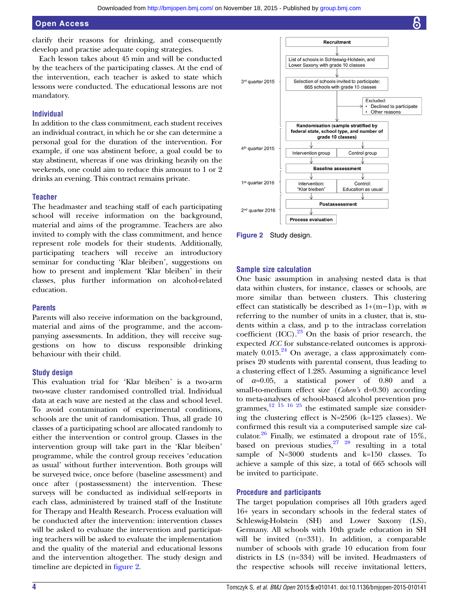## Open Access

clarify their reasons for drinking, and consequently develop and practise adequate coping strategies.

Each lesson takes about 45 min and will be conducted by the teachers of the participating classes. At the end of the intervention, each teacher is asked to state which lessons were conducted. The educational lessons are not mandatory.

#### Individual

In addition to the class commitment, each student receives an individual contract, in which he or she can determine a personal goal for the duration of the intervention. For example, if one was abstinent before, a goal could be to stay abstinent, whereas if one was drinking heavily on the weekends, one could aim to reduce this amount to 1 or 2 drinks an evening. This contract remains private.

#### **Teacher**

The headmaster and teaching staff of each participating school will receive information on the background, material and aims of the programme. Teachers are also invited to comply with the class commitment, and hence represent role models for their students. Additionally, participating teachers will receive an introductory seminar for conducting 'Klar bleiben', suggestions on how to present and implement 'Klar bleiben' in their classes, plus further information on alcohol-related education.

#### **Parents**

Parents will also receive information on the background, material and aims of the programme, and the accompanying assessments. In addition, they will receive suggestions on how to discuss responsible drinking behaviour with their child.

#### Study design

This evaluation trial for 'Klar bleiben' is a two-arm two-wave cluster randomised controlled trial. Individual data at each wave are nested at the class and school level. To avoid contamination of experimental conditions, schools are the unit of randomisation. Thus, all grade 10 classes of a participating school are allocated randomly to either the intervention or control group. Classes in the intervention group will take part in the 'Klar bleiben' programme, while the control group receives 'education as usual' without further intervention. Both groups will be surveyed twice, once before (baseline assessment) and once after (postassessment) the intervention. These surveys will be conducted as individual self-reports in each class, administered by trained staff of the Institute for Therapy and Health Research. Process evaluation will be conducted after the intervention: intervention classes will be asked to evaluate the intervention and participating teachers will be asked to evaluate the implementation and the quality of the material and educational lessons and the intervention altogether. The study design and timeline are depicted in figure 2.



Figure 2 Study design.

#### Sample size calculation

One basic assumption in analysing nested data is that data within clusters, for instance, classes or schools, are more similar than between clusters. This clustering effect can statistically be described as  $1+(m-1)p$ , with m referring to the number of units in a cluster, that is, students within a class, and p to the intraclass correlation coefficient  $(ICC)$ .<sup>23</sup> On the basis of prior research, the expected ICC for substance-related outcomes is approximately  $0.015.^{24}$  $0.015.^{24}$  $0.015.^{24}$  On average, a class approximately comprises 20 students with parental consent, thus leading to a clustering effect of 1.285. Assuming a significance level of  $\alpha=0.05$ , a statistical power of 0.80 and a small-to-medium effect size (Cohen's d=0.30) according to meta-analyses of school-based alcohol prevention programmes, $^{12}$  15  $^{16}$  25 the estimated sample size considering the clustering effect is N=2506 (k=125 classes). We confirmed this result via a computerised sample size calculator. $26$  Finally, we estimated a dropout rate of 15%, based on previous studies, $27 \frac{28}{1}$  resulting in a total sample of N=3000 students and k=150 classes. To achieve a sample of this size, a total of 665 schools will be invited to participate.

#### Procedure and participants

The target population comprises all 10th graders aged 16+ years in secondary schools in the federal states of Schleswig-Holstein (SH) and Lower Saxony (LS), Germany. All schools with 10th grade education in SH will be invited (n=331). In addition, a comparable number of schools with grade 10 education from four districts in LS (n=334) will be invited. Headmasters of the respective schools will receive invitational letters,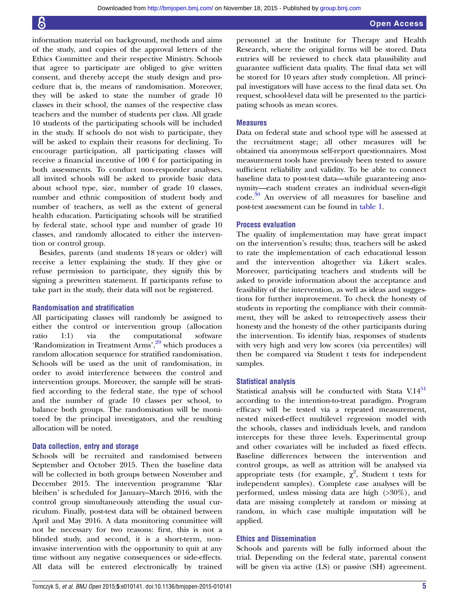information material on background, methods and aims of the study, and copies of the approval letters of the Ethics Committee and their respective Ministry. Schools that agree to participate are obliged to give written consent, and thereby accept the study design and procedure that is, the means of randomisation. Moreover, they will be asked to state the number of grade 10 classes in their school, the names of the respective class teachers and the number of students per class. All grade 10 students of the participating schools will be included in the study. If schools do not wish to participate, they will be asked to explain their reasons for declining. To encourage participation, all participating classes will receive a financial incentive of 100  $\epsilon$  for participating in both assessments. To conduct non-responder analyses, all invited schools will be asked to provide basic data about school type, size, number of grade 10 classes, number and ethnic composition of student body and number of teachers, as well as the extent of general health education. Participating schools will be stratified by federal state, school type and number of grade 10 classes, and randomly allocated to either the intervention or control group.

Besides, parents (and students 18 years or older) will receive a letter explaining the study. If they give or refuse permission to participate, they signify this by signing a prewritten statement. If participants refuse to take part in the study, their data will not be registered.

#### Randomisation and stratification

All participating classes will randomly be assigned to either the control or intervention group (allocation ratio 1:1) via the computational software 'Randomization in Treatment Arms',<sup>[29](#page-6-0)</sup> which produces a random allocation sequence for stratified randomisation. Schools will be used as the unit of randomisation, in order to avoid interference between the control and intervention groups. Moreover, the sample will be stratified according to the federal state, the type of school and the number of grade 10 classes per school, to balance both groups. The randomisation will be monitored by the principal investigators, and the resulting allocation will be noted.

#### Data collection, entry and storage

Schools will be recruited and randomised between September and October 2015. Then the baseline data will be collected in both groups between November and December 2015. The intervention programme 'Klar bleiben' is scheduled for January–March 2016, with the control group simultaneously attending the usual curriculum. Finally, post-test data will be obtained between April and May 2016. A data monitoring committee will not be necessary for two reasons: first, this is not a blinded study, and second, it is a short-term, noninvasive intervention with the opportunity to quit at any time without any negative consequences or side-effects. All data will be entered electronically by trained

personnel at the Institute for Therapy and Health Research, where the original forms will be stored. Data entries will be reviewed to check data plausibility and guarantee sufficient data quality. The final data set will be stored for 10 years after study completion. All principal investigators will have access to the final data set. On request, school-level data will be presented to the participating schools as mean scores.

#### Measures

Data on federal state and school type will be assessed at the recruitment stage; all other measures will be obtained via anonymous self-report questionnaires. Most measurement tools have previously been tested to assure sufficient reliability and validity. To be able to connect baseline data to post-test data—while guaranteeing anonymity—each student creates an individual seven-digit code.[30](#page-6-0) An overview of all measures for baseline and post-test assessment can be found in [table 1](#page-1-0).

#### Process evaluation

The quality of implementation may have great impact on the intervention's results; thus, teachers will be asked to rate the implementation of each educational lesson and the intervention altogether via Likert scales. Moreover, participating teachers and students will be asked to provide information about the acceptance and feasibility of the intervention, as well as ideas and suggestions for further improvement. To check the honesty of students in reporting the compliance with their commitment, they will be asked to retrospectively assess their honesty and the honesty of the other participants during the intervention. To identify bias, responses of students with very high and very low scores (via percentiles) will then be compared via Student t tests for independent samples.

#### Statistical analysis

Statistical analysis will be conducted with Stata V.14<sup>[51](#page-6-0)</sup> according to the intention-to-treat paradigm. Program efficacy will be tested via a repeated measurement, nested mixed-effect multilevel regression model with the schools, classes and individuals levels, and random intercepts for these three levels. Experimental group and other covariates will be included as fixed effects. Baseline differences between the intervention and control groups, as well as attrition will be analysed via appropriate tests (for example,  $\chi^2$ , Student t tests for independent samples). Complete case analyses will be performed, unless missing data are high (>30%), and data are missing completely at random or missing at random, in which case multiple imputation will be applied.

#### Ethics and Dissemination

Schools and parents will be fully informed about the trial. Depending on the federal state, parental consent will be given via active (LS) or passive (SH) agreement.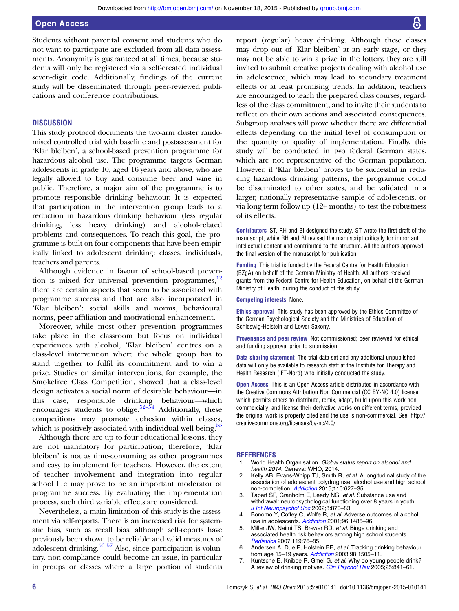### <span id="page-5-0"></span>Open Access

Students without parental consent and students who do not want to participate are excluded from all data assessments. Anonymity is guaranteed at all times, because students will only be registered via a self-created individual seven-digit code. Additionally, findings of the current study will be disseminated through peer-reviewed publications and conference contributions.

#### **DISCUSSION**

This study protocol documents the two-arm cluster randomised controlled trial with baseline and postassessment for 'Klar bleiben', a school-based prevention programme for hazardous alcohol use. The programme targets German adolescents in grade 10, aged 16 years and above, who are legally allowed to buy and consume beer and wine in public. Therefore, a major aim of the programme is to promote responsible drinking behaviour. It is expected that participation in the intervention group leads to a reduction in hazardous drinking behaviour (less regular drinking, less heavy drinking) and alcohol-related problems and consequences. To reach this goal, the programme is built on four components that have been empirically linked to adolescent drinking: classes, individuals, teachers and parents.

Although evidence in favour of school-based prevention is mixed for universal prevention programmes, $12$ there are certain aspects that seem to be associated with programme success and that are also incorporated in 'Klar bleiben': social skills and norms, behavioural norms, peer affiliation and motivational enhancement.

Moreover, while most other prevention programmes take place in the classroom but focus on individual experiences with alcohol, 'Klar bleiben' centres on a class-level intervention where the whole group has to stand together to fulfil its commitment and to win a prize. Studies on similar interventions, for example, the Smokefree Class Competition, showed that a class-level design activates a social norm of desirable behaviour—in this case, responsible drinking behaviour—which encourages students to oblige. $52-\overline{54}$  $52-\overline{54}$  Additionally, these competitions may promote cohesion within classes, which is positively associated with individual well-being.<sup>[55](#page-6-0)</sup>

Although there are up to four educational lessons, they are not mandatory for participation; therefore, 'Klar bleiben' is not as time-consuming as other programmes and easy to implement for teachers. However, the extent of teacher involvement and integration into regular school life may prove to be an important moderator of programme success. By evaluating the implementation process, such third variable effects are considered.

Nevertheless, a main limitation of this study is the assessment via self-reports. There is an increased risk for systematic bias, such as recall bias, although self-reports have previously been shown to be reliable and valid measures of adolescent drinking. $56\,57$  Also, since participation is voluntary, non-compliance could become an issue, in particular in groups or classes where a large portion of students

report (regular) heavy drinking. Although these classes may drop out of 'Klar bleiben' at an early stage, or they may not be able to win a prize in the lottery, they are still invited to submit creative projects dealing with alcohol use in adolescence, which may lead to secondary treatment effects or at least promising trends. In addition, teachers are encouraged to teach the prepared class courses, regardless of the class commitment, and to invite their students to reflect on their own actions and associated consequences. Subgroup analyses will prove whether there are differential effects depending on the initial level of consumption or the quantity or quality of implementation. Finally, this study will be conducted in two federal German states, which are not representative of the German population. However, if 'Klar bleiben' proves to be successful in reducing hazardous drinking patterns, the programme could be disseminated to other states, and be validated in a larger, nationally representative sample of adolescents, or via long-term follow-up (12+ months) to test the robustness of its effects.

Contributors ST, RH and BI designed the study. ST wrote the first draft of the manuscript, while RH and BI revised the manuscript critically for important intellectual content and contributed to the structure. All the authors approved the final version of the manuscript for publication.

Funding This trial is funded by the Federal Centre for Health Education (BZgA) on behalf of the German Ministry of Health. All authors received grants from the Federal Centre for Health Education, on behalf of the German Ministry of Health, during the conduct of the study.

#### Competing interests None.

Ethics approval This study has been approved by the Ethics Committee of the German Psychological Society and the Ministries of Education of Schleswig-Holstein and Lower Saxony.

Provenance and peer review Not commissioned; peer reviewed for ethical and funding approval prior to submission.

Data sharing statement The trial data set and any additional unpublished data will only be available to research staff at the Institute for Therapy and Health Research (IFT-Nord) who initially conducted the study.

Open Access This is an Open Access article distributed in accordance with the Creative Commons Attribution Non Commercial (CC BY-NC 4.0) license, which permits others to distribute, remix, adapt, build upon this work noncommercially, and license their derivative works on different terms, provided the original work is properly cited and the use is non-commercial. See: [http://](http://creativecommons.org/licenses/by-nc/4.0/) [creativecommons.org/licenses/by-nc/4.0/](http://creativecommons.org/licenses/by-nc/4.0/)

#### **REFERENCES**

- 1. World Health Organisation. Global status report on alcohol and health 2014. Geneva: WHO, 2014.
- Kelly AB, Evans-Whipp TJ, Smith R, et al. A longitudinal study of the association of adolescent polydrug use, alcohol use and high school non-completion. [Addiction](http://dx.doi.org/10.1111/add.12829) 2015;110:627-35.
- 3. Tapert SF, Granholm E, Leedy NG, et al. Substance use and withdrawal: neuropsychological functioning over 8 years in youth. [J Int Neuropsychol Soc](http://dx.doi.org/10.1017/S1355617702870011) 2002;8:873–83.
- 4. Bonomo Y, Coffey C, Wolfe R, et al. Adverse outcomes of alcohol use in adolescents. [Addiction](http://dx.doi.org/10.1080/09652140120075215) 2001;96:1485-96.
- 5. Miller JW, Naimi TS, Brewer RD, et al. Binge drinking and associated health risk behaviors among high school students. [Pediatrics](http://dx.doi.org/10.1542/peds.2006-1517) 2007;119:76–85.
- 6. Andersen A, Due P, Holstein BE, et al. Tracking drinking behaviour from age 15–19 years. [Addiction](http://dx.doi.org/10.1046/j.1360-0443.2003.00496.x) 2003;98:1505–11.
- 7. Kuntsche E, Knibbe R, Gmel G, et al. Why do young people drink? A review of drinking motives. [Clin Psychol Rev](http://dx.doi.org/10.1016/j.cpr.2005.06.002) 2005;25:841-61.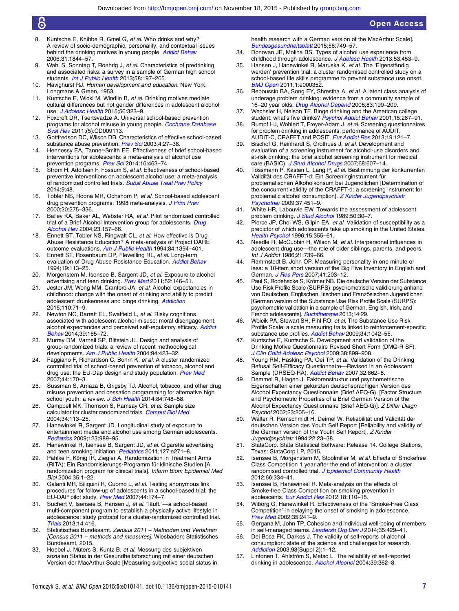- <span id="page-6-0"></span>8. Kuntsche E, Knibbe R, Gmel G, et al. Who drinks and why? A review of socio-demographic, personality, and contextual issues behind the drinking motives in young people. [Addict Behav](http://dx.doi.org/10.1016/j.addbeh.2005.12.028) 2006;31:1844–57.
- 9. Wahl S, Sonntag T, Roehrig J, et al. Characteristics of predrinking and associated risks: a survey in a sample of German high school students. [Int J Public Health](http://dx.doi.org/10.1007/s00038-012-0409-2) 2013;58:197-205.
- 10. Havighurst RJ. Human development and education. New York: Longmans & Green, 1953.
- 11. Kuntsche E, Wicki M, Windlin B, et al. Drinking motives mediate cultural differences but not gender differences in adolescent alcohol use. *[J Adolesc Health](http://dx.doi.org/10.1016/j.jadohealth.2014.10.267)* 2015;56:323-9.
- 12. Foxcroft DR, Tsertsvadze A. Universal school-based prevention programs for alcohol misuse in young people. [Cochrane Database](http://dx.doi.org/10.1002/14651858.CD009113) [Syst Rev](http://dx.doi.org/10.1002/14651858.CD009113) 2011;(5):CD009113.
- 13. Gottfredson DC, Wilson DB. Characteristics of effective school-based substance abuse prevention. [Prev Sci](http://dx.doi.org/10.1023/A:1021782710278) 2003;4:27-38.
- Hennessy EA, Tanner-Smith EE. Effectiveness of brief school-based interventions for adolescents: a meta-analysis of alcohol use prevention programs. [Prev Sci](http://dx.doi.org/10.1007/s11121-014-0512-0) 2014;16:463-74.
- 15. Strøm H, Adolfsen F, Fossum S, et al. Effectiveness of school-based preventive interventions on adolescent alcohol use: a meta-analysis of randomized controlled trials. [Subst Abuse Treat Prev Policy](http://dx.doi.org/10.1186/1747-597X-9-48) 2014;9:48.
- 16. Tobler NS, Roona MR, Ochshorn P, et al. School-based adolescent drug prevention programs: 1998 meta-analysis. [J Prim Prev](http://dx.doi.org/10.1023/A:1021314704811) 2000;20:275–336.
- 17. Bailey KA, Baker AL, Webster RA, et al. Pilot randomized controlled trial of a Brief Alcohol Intervention group for adolescents. [Drug](http://dx.doi.org/10.1080/09595230410001704136) [Alcohol Rev](http://dx.doi.org/10.1080/09595230410001704136) 2004;23:157–66.
- 18. Ennett ST, Tobler NS, Ringwalt CL, et al. How effective is Drug Abuse Resistance Education? A meta-analysis of Project DARE outcome evaluations. [Am J Public Health](http://dx.doi.org/10.2105/AJPH.84.9.1394) 1994;84:1394–401.
- 19. Ennett ST, Rosenbaum DP, Flewelling RL, et al. Long-term evaluation of Drug Abuse Resistance Education. [Addict Behav](http://dx.doi.org/10.1016/0306-4603(94)90036-1) 1994;19:113–25.
- 20. Morgenstern M, Isensee B, Sargent JD, et al. Exposure to alcohol advertising and teen drinking. [Prev Med](http://dx.doi.org/10.1016/j.ypmed.2010.11.020) 2011;52:146–51.
- 21. Jester JM, Wong MM, Cranford JA, et al. Alcohol expectancies in childhood: change with the onset of drinking and ability to predict adolescent drunkenness and binge drinking. [Addiction](http://dx.doi.org/10.1111/add.12704) 2015;110:71–9.
- 22. Newton NC, Barrett EL, Swaffield L, et al. Risky cognitions associated with adolescent alcohol misuse: moral disengagement, alcohol expectancies and perceived self-regulatory efficacy. [Addict](http://dx.doi.org/10.1016/j.addbeh.2013.09.030) [Behav](http://dx.doi.org/10.1016/j.addbeh.2013.09.030) 2014;39:165–72.
- 23. Murray DM, Varnell SP, Blitstein JL. Design and analysis of group-randomized trials: a review of recent methodological developments. [Am J Public Health](http://dx.doi.org/10.2105/AJPH.94.3.423) 2004;94:423–32.
- 24. Faggiano F, Richardson C, Bohrn K, et al. A cluster randomized controlled trial of school-based prevention of tobacco, alcohol and drug use: the EU-Dap design and study population. [Prev Med](http://dx.doi.org/10.1016/j.ypmed.2006.09.010) 2007;44:170–3.
- 25. Sussman S, Arriaza B, Grigsby TJ. Alcohol, tobacco, and other drug misuse prevention and cessation programming for alternative high school youth: a review. [J Sch Health](http://dx.doi.org/10.1111/josh.12200) 2014;84:748-58.
- 26. Campbell MK, Thomson S, Ramsay CR, et al. Sample size calculator for cluster randomized trials. [Comput Biol Med](http://dx.doi.org/10.1016/S0010-4825(03)00039-8) 2004;34:113–25.
- 27. Hanewinkel R, Sargent JD. Longitudinal study of exposure to entertainment media and alcohol use among German adolescents. [Pediatrics](http://dx.doi.org/10.1542/peds.2008-1465) 2009;123:989–95.
- 28. Hanewinkel R, Isensee B, Sargent JD, et al. Cigarette advertising and teen smoking initiation. [Pediatrics](http://dx.doi.org/10.1542/peds.2010-2934) 2011;127:e271-8.
- 29. Pahlke F, König IR, Ziegler A. Randomization in Treatment Arms (RITA): Ein Randomisierungs-Programm für klinische Studien [A randomization program for clinical trials]. Inform Biom Epidemiol Med Biol 2004;35:1–22.
- 30. Galanti MR, Siliquini R, Cuomo L, et al. Testing anonymous link procedures for follow-up of adolescents in a school-based trial: the EU-DAP pilot study. [Prev Med](http://dx.doi.org/10.1016/j.ypmed.2006.07.019) 2007;44:174–7.
- 31. Suchert V, Isensee B, Hansen J, et al. "läuft."—a school-based multi-component program to establish a physically active lifestyle in adolescence: study protocol for a cluster-randomized controlled trial. [Trials](http://dx.doi.org/10.1186/1745-6215-14-416) 2013;14:416.
- 32. Statistisches Bundesamt. Zensus 2011 Methoden und Verfahren [Census 2011 – methods and measures]. Wiesbaden: Statistisches Bundesamt, 2015.
- 33. Hoebel J, Müters S, Kuntz B, et al. Messung des subjektiven sozialen Status in der Gesundheitsforschung mit einer deutschen Version der MacArthur Scale [Measuring subjective social status in

health research with a German version of the MacArthur Scale]. [Bundesgesundheitsblatt](http://dx.doi.org/10.1007/s00103-015-2166-x) 2015;58:749–57.

- 34. Donovan JE, Molina BS. Types of alcohol use experience from childhood through adolescence. [J Adolesc Health](http://dx.doi.org/10.1016/j.jadohealth.2013.03.024) 2013;53:453–9.
- 35. Hansen J, Hanewinkel R, Maruska K, et al. The 'Eigenständig werden' prevention trial: a cluster randomised controlled study on a school-based life skills programme to prevent substance use onset. [BMJ Open](http://dx.doi.org/10.1136/bmjopen-2011-000352) 2011;1:e000352
- 36. Reboussin BA, Song EY, Shrestha A, et al. A latent class analysis of underage problem drinking: evidence from a community sample of 16–20 year olds. [Drug Alcohol Depend](http://dx.doi.org/10.1016/j.drugalcdep.2005.11.013) 2006;83:199–209.
- 37. Wechsler H, Nelson TF. Binge drinking and the American college student: what's five drinks? [Psychol Addict Behav](http://dx.doi.org/10.1037/0893-164X.15.4.287) 2001;15:287-91.
- 38. Rumpf HJ, Wohlert T, Freyer-Adam J, et al. Screening questionnaires for problem drinking in adolescents: performance of AUDIT, AUDIT-C, CRAFFT and POSIT. [Eur Addict Res](http://dx.doi.org/10.1159/000342331) 2013;19:121-7.
- 39. Bischof G, Reinhardt S, Grothues J, et al. Development and evaluation of a screening instrument for alcohol-use disorders and at-risk drinking: the brief alcohol screening instrument for medical care (BASIC). [J Stud Alcohol Drugs](http://dx.doi.org/10.15288/jsad.2007.68.607) 2007;68:607-14.
- 40. Tossmann P, Kasten L, Lang P, et al. Bestimmung der konkurrenten Validität des CRAFFT-d: Ein Screeninginstrument für problematischen Alkoholkonsum bei Jugendlichen [Determination of the concurrent validity of the CRAFFT-d: a screening instrument for problematic alcohol consumption]. [Z Kinder Jugendpsychiatr](http://dx.doi.org/10.1024/1422-4917.37.5.451) sychother 2009;37:451-9.
- 41. White HR, Labouvie EW. Towards the assessment of adolescent problem drinking. [J Stud Alcohol](http://dx.doi.org/10.15288/jsa.1989.50.30) 1989;50:30-7.
- 42. Pierce JP, Choi WS, Gilpin EA, et al. Validation of susceptibility as a predictor of which adolescents take up smoking in the United States. [Health Psychol](http://dx.doi.org/10.1037/0278-6133.15.5.355) 1996;15:355-61.
- Needle R, McCubbin H, Wilson M, et al. Interpersonal influences in adolescent drug use—the role of older siblings, parents, and peers. Int J Addict 1986;21:739–66.
- 44. Rammstedt B, John OP. Measuring personality in one minute or less: a 10-item short version of the Big Five Inventory in English and German. [J Res Pers](http://dx.doi.org/10.1016/j.jrp.2006.02.001) 2007;41:203-12.
- 45. Paul S, Rodehacke S, Krömer NB. Die deutsche Version der Substance Use Risk Profile Scale (SURPS): psychometrische validierung anhand von Deutschen, Englischen, Irischen und Französischen Jugendlichen [German version of the Substance Use Risk Profile Scale (SURPS): psychometric validation in a sample of German, English, Irish, and French adolescents]. [Suchttherapie](http://dx.doi.org/10.1055/s-0033-1351517) 2013;14:29.
- 46. Woicik PA, Stewart SH, Pihl RO, et al. The Substance Use Risk Profile Scale: a scale measuring traits linked to reinforcement-specific substance use profiles. [Addict Behav](http://dx.doi.org/10.1016/j.addbeh.2009.07.001) 2009;34:1042-55.
- Kuntsche E, Kuntsche S. Development and validation of the Drinking Motive Questionnaire Revised Short Form (DMQ-R SF). [J Clin Child Adolesc Psychol](http://dx.doi.org/10.1080/15374410903258967) 2009;38:899-908.
- 48. Young RM, Hasking PA, Oei TP, et al. Validation of the Drinking Refusal Self-Efficacy Questionnaire—Revised in an Adolescent Sample (DRSEQ-RA). [Addict Behav](http://dx.doi.org/10.1016/j.addbeh.2006.07.001) 2007;32:862-8.
- 49. Demmel R, Hagen J. Faktorenstruktur und psychometrische Eigenschaften einer gekürzten deutschsprachigen Version des Alcohol Expectancy Questionnaire (Brief AEQ-G). [Factor Structure and Psychometric Properties of a Brief German Version of the Alcohol Expectancy Questionnaire (Brief AEQ-G)]. Z Differ Diagn Psychol 2002;23:205–16.
- 50. Walter R, Remschmidt H, Deimel W. Reliabilität und Validität der deutschen Version des Youth Self Report [Reliability and validity of the German version of the Youth Self Report]. Z Kinder Jugendpsychiatr 1994;22:23–38.
- 51. StataCorp. Stata Statistical Software: Release 14. College Stations, Texas: StataCorp LP, 2015.
- 52. Isensee B, Morgenstern M, Stoolmiller M, et al. Effects of Smokefree Class Competition 1 year after the end of intervention: a cluster randomised controlled trial. [J Epidemiol Community Health](http://dx.doi.org/10.1136/jech.2009.107490) 2012;66:334–41.
- 53. Isensee B, Hanewinkel R. Meta-analysis on the effects of Smoke-free Class Competition on smoking prevention in adolescents. [Eur Addict Res](http://dx.doi.org/10.1159/000335085) 2012;18:110-15.
- 54. Wiborg G, Hanewinkel R. Effectiveness of the "Smoke-Free Class Competition" in delaying the onset of smoking in adolescence. [Prev Med](http://dx.doi.org/10.1006/pmed.2002.1071) 2002;35:241–9.
- 55. Gergana M, John TP. Cohesion and individual well-being of members in self-managed teams. [Leadersh Org Dev J](http://dx.doi.org/10.1108/LODJ-04-12-0058) 2014;35:429-41.
- 56. Del Boca FK, Darkes J. The validity of self-reports of alcohol consumption: state of the science and challenges for research. [Addiction](http://dx.doi.org/10.1046/j.1359-6357.2003.00586.x) 2003;98(Suppl 2):1-12.
- 57. Lintonen T, Ahlström S, Metso L. The reliability of self-reported drinking in adolescence. [Alcohol Alcohol](http://dx.doi.org/10.1093/alcalc/agh071) 2004;39:362-8.